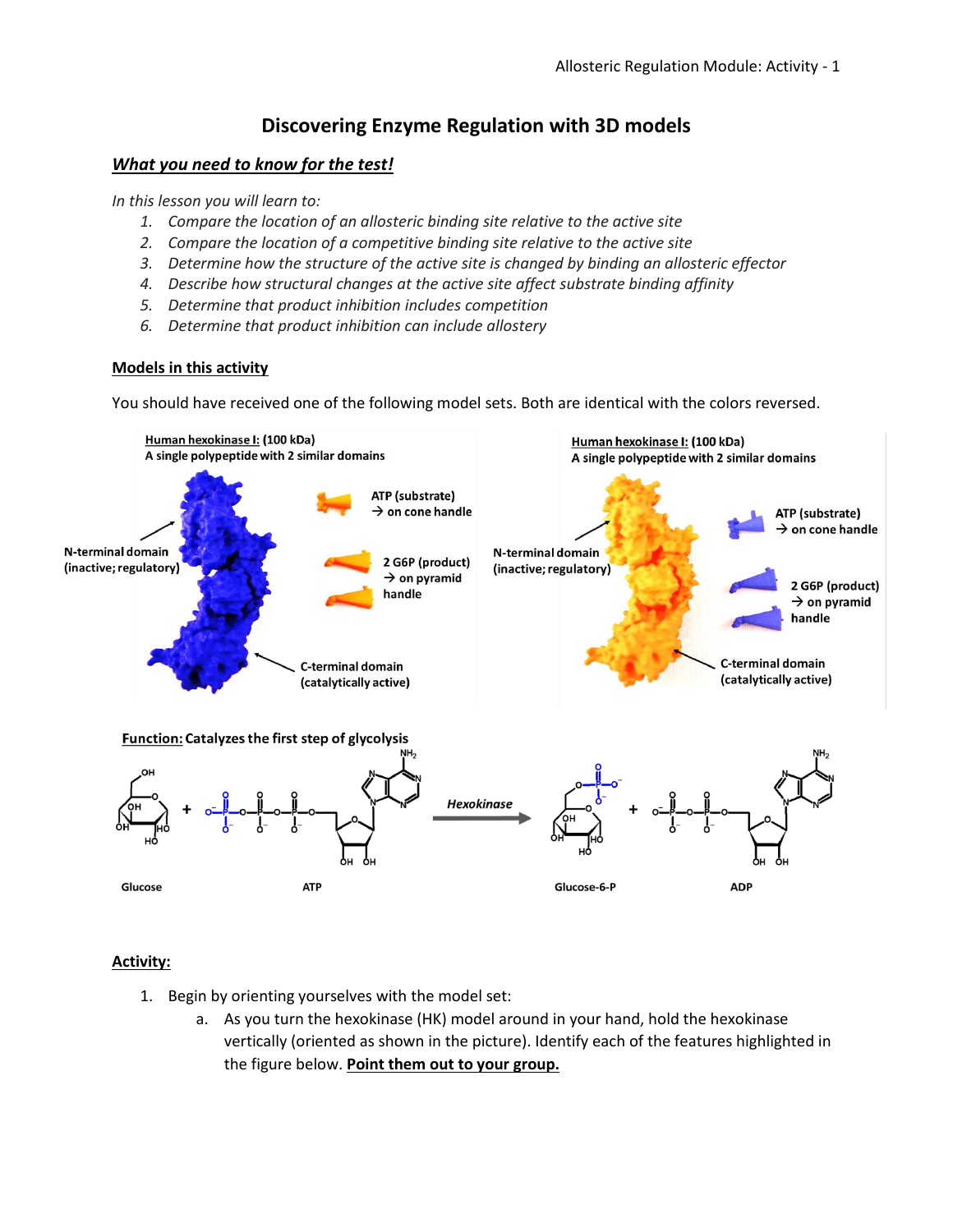## **Discovering Enzyme Regulation with 3D models**

## *What you need to know for the test!*

*In this lesson you will learn to:*

- *1. Compare the location of an allosteric binding site relative to the active site*
- *2. Compare the location of a competitive binding site relative to the active site*
- *3. Determine how the structure of the active site is changed by binding an allosteric effector*
- *4. Describe how structural changes at the active site affect substrate binding affinity*
- *5. Determine that product inhibition includes competition*
- *6. Determine that product inhibition can include allostery*

## **Models in this activity**

You should have received one of the following model sets. Both are identical with the colors reversed.



## **Activity:**

- 1. Begin by orienting yourselves with the model set:
	- a. As you turn the hexokinase (HK) model around in your hand, hold the hexokinase vertically (oriented as shown in the picture). Identify each of the features highlighted in the figure below. **Point them out to your group.**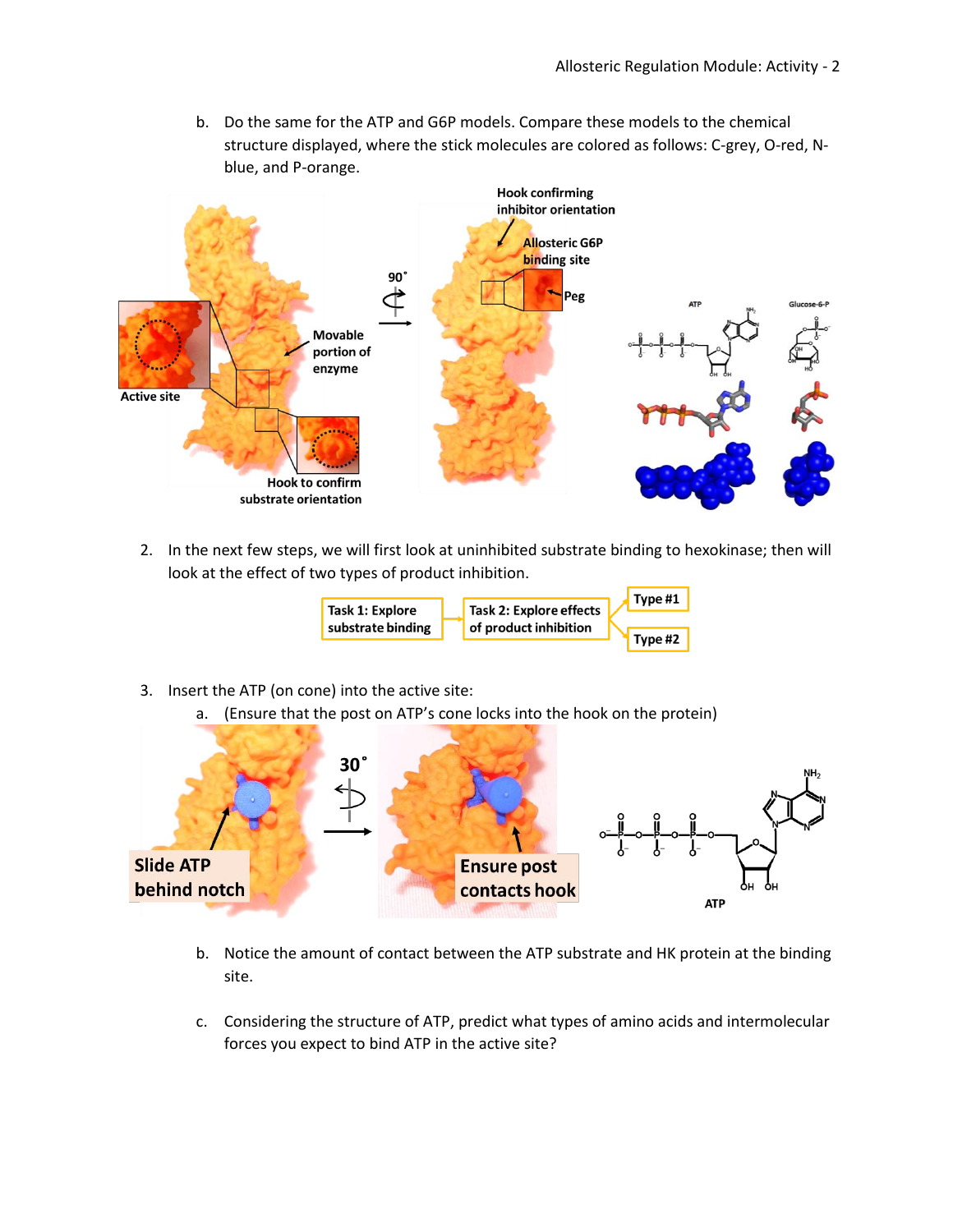b. Do the same for the ATP and G6P models. Compare these models to the chemical structure displayed, where the stick molecules are colored as follows: C-grey, O-red, Nblue, and P-orange.



2. In the next few steps, we will first look at uninhibited substrate binding to hexokinase; then will look at the effect of two types of product inhibition.



- 3. Insert the ATP (on cone) into the active site:
	- a. (Ensure that the post on ATP's cone locks into the hook on the protein)



- b. Notice the amount of contact between the ATP substrate and HK protein at the binding site.
- c. Considering the structure of ATP, predict what types of amino acids and intermolecular forces you expect to bind ATP in the active site?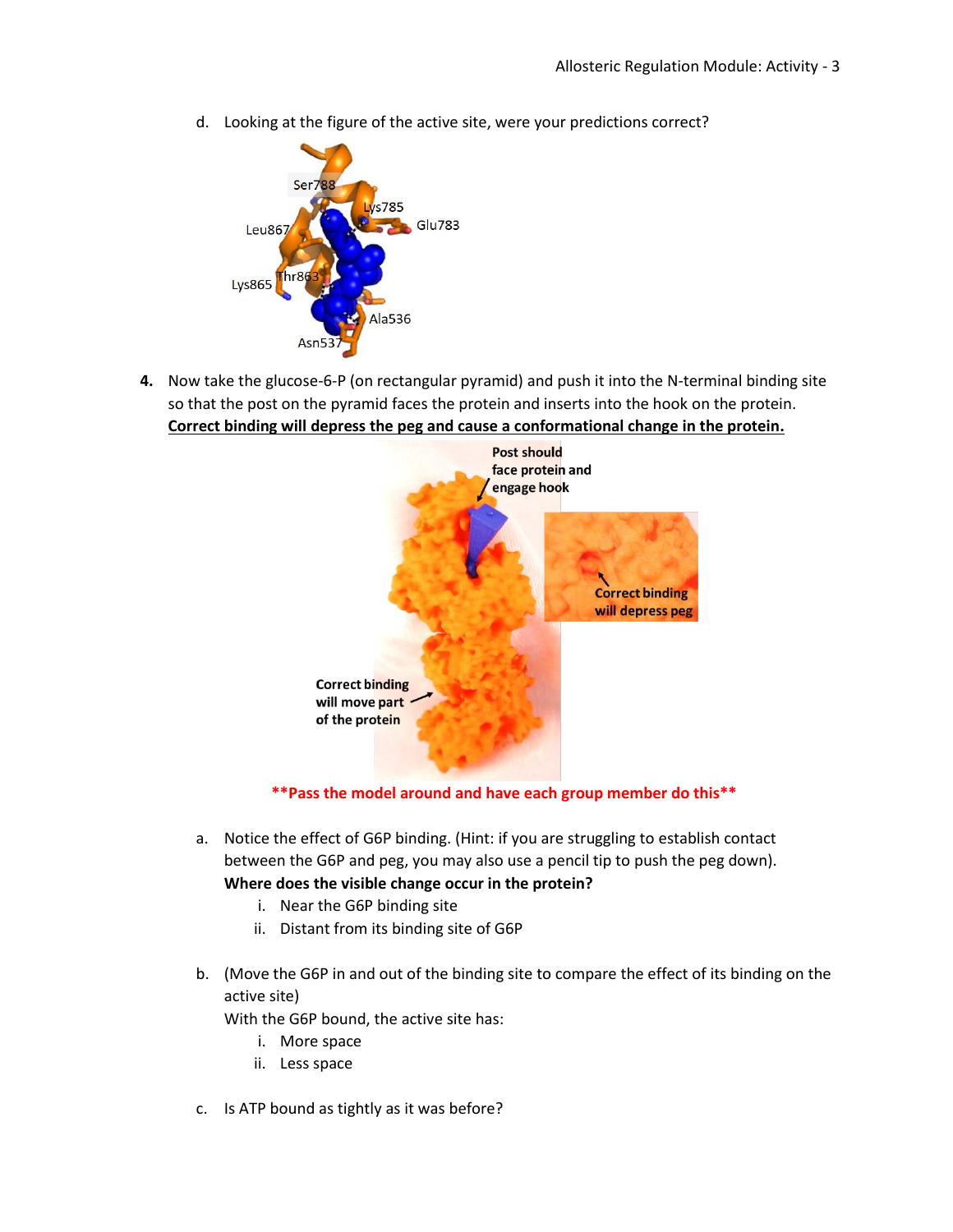d. Looking at the figure of the active site, were your predictions correct?



**4.** Now take the glucose-6-P (on rectangular pyramid) and push it into the N-terminal binding site so that the post on the pyramid faces the protein and inserts into the hook on the protein. **Correct binding will depress the peg and cause a conformational change in the protein.**



**\*\*Pass the model around and have each group member do this\*\***

- a. Notice the effect of G6P binding. (Hint: if you are struggling to establish contact between the G6P and peg, you may also use a pencil tip to push the peg down). **Where does the visible change occur in the protein?**
	- i. Near the G6P binding site
	- ii. Distant from its binding site of G6P
- b. (Move the G6P in and out of the binding site to compare the effect of its binding on the active site)

With the G6P bound, the active site has:

- i. More space
- ii. Less space
- c. Is ATP bound as tightly as it was before?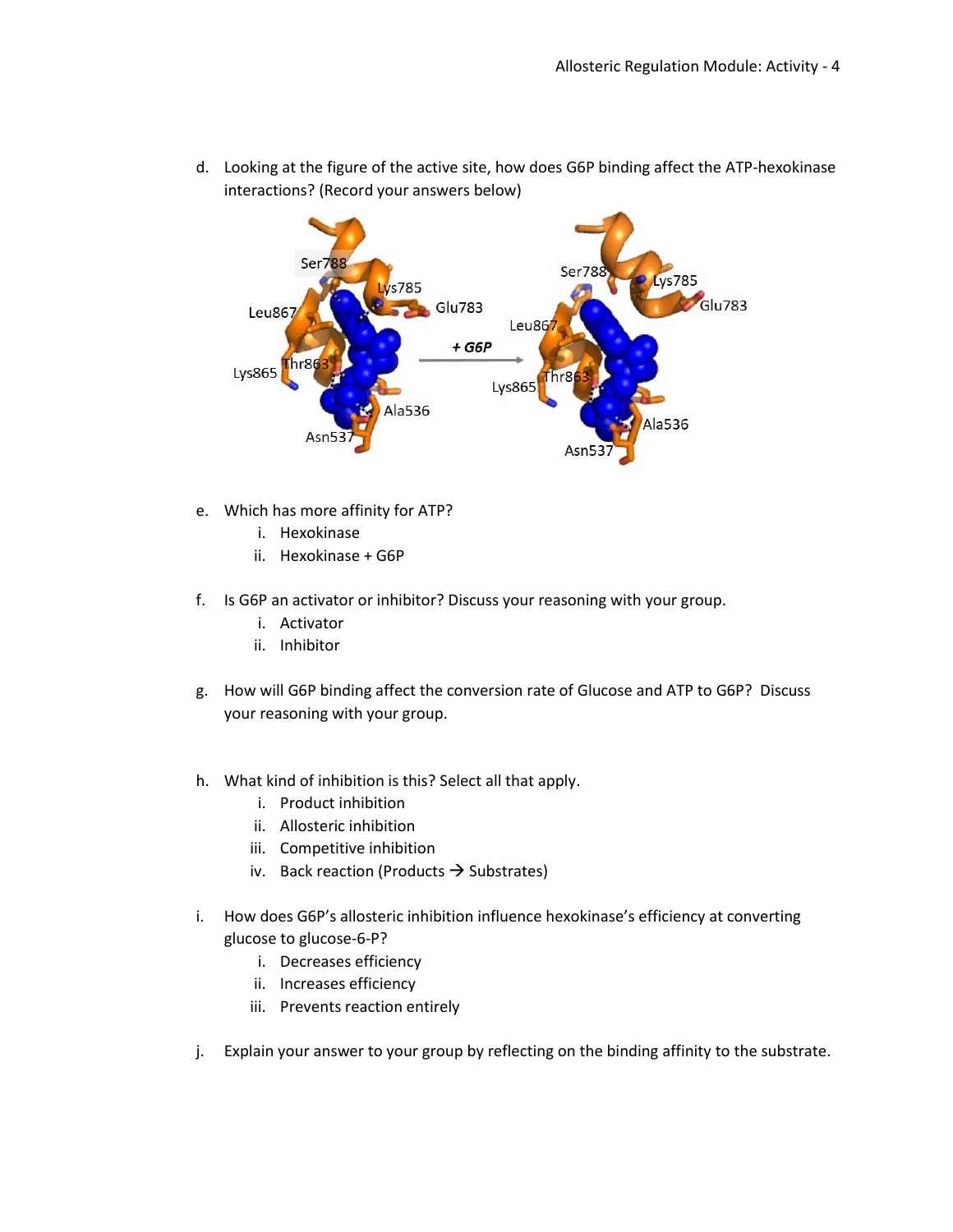

d. Looking at the figure of the active site, how does G6P binding affect the ATP-hexokinase interactions? (Record your answers below)

- e. Which has more affinity for ATP?
	- i. Hexokinase
	- ii. Hexokinase + G6P
- f. Is G6P an activator or inhibitor? Discuss your reasoning with your group.
	- i. Activator
	- ii. Inhibitor
- g. How will G6P binding affect the conversion rate of Glucose and ATP to G6P? Discuss your reasoning with your group.
- h. What kind of inhibition is this? Select all that apply.
	- i. Product inhibition
	- ii. Allosteric inhibition
	- iii. Competitive inhibition
	- iv. Back reaction (Products  $\rightarrow$  Substrates)
- i. How does G6P's allosteric inhibition influence hexokinase's efficiency at converting glucose to glucose-6-P?
	- i. Decreases efficiency
	- ii. Increases efficiency
	- iii. Prevents reaction entirely
- j. Explain your answer to your group by reflecting on the binding affinity to the substrate.